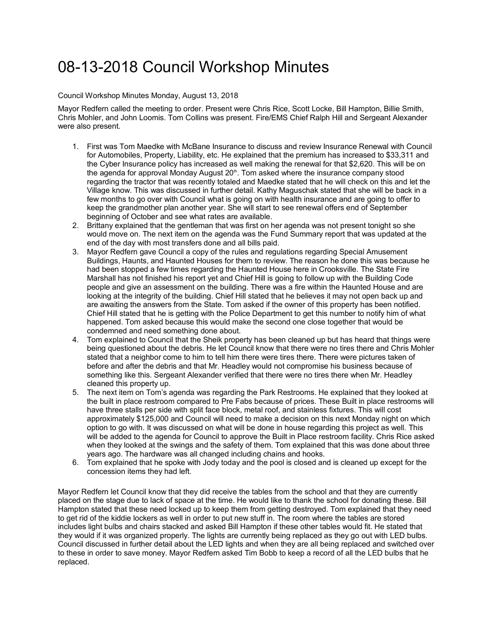## 08-13-2018 Council Workshop Minutes

## Council Workshop Minutes Monday, August 13, 2018

Mayor Redfern called the meeting to order. Present were Chris Rice, Scott Locke, Bill Hampton, Billie Smith, Chris Mohler, and John Loomis. Tom Collins was present. Fire/EMS Chief Ralph Hill and Sergeant Alexander were also present.

- 1. First was Tom Maedke with McBane Insurance to discuss and review Insurance Renewal with Council for Automobiles, Property, Liability, etc. He explained that the premium has increased to \$33,311 and the Cyber Insurance policy has increased as well making the renewal for that \$2,620. This will be on the agenda for approval Monday August 20<sup>th</sup>. Tom asked where the insurance company stood regarding the tractor that was recently totaled and Maedke stated that he will check on this and let the Village know. This was discussed in further detail. Kathy Maguschak stated that she will be back in a few months to go over with Council what is going on with health insurance and are going to offer to keep the grandmother plan another year. She will start to see renewal offers end of September beginning of October and see what rates are available.
- 2. Brittany explained that the gentleman that was first on her agenda was not present tonight so she would move on. The next item on the agenda was the Fund Summary report that was updated at the end of the day with most transfers done and all bills paid.
- 3. Mayor Redfern gave Council a copy of the rules and regulations regarding Special Amusement Buildings, Haunts, and Haunted Houses for them to review. The reason he done this was because he had been stopped a few times regarding the Haunted House here in Crooksville. The State Fire Marshall has not finished his report yet and Chief Hill is going to follow up with the Building Code people and give an assessment on the building. There was a fire within the Haunted House and are looking at the integrity of the building. Chief Hill stated that he believes it may not open back up and are awaiting the answers from the State. Tom asked if the owner of this property has been notified. Chief Hill stated that he is getting with the Police Department to get this number to notify him of what happened. Tom asked because this would make the second one close together that would be condemned and need something done about.
- 4. Tom explained to Council that the Sheik property has been cleaned up but has heard that things were being questioned about the debris. He let Council know that there were no tires there and Chris Mohler stated that a neighbor come to him to tell him there were tires there. There were pictures taken of before and after the debris and that Mr. Headley would not compromise his business because of something like this. Sergeant Alexander verified that there were no tires there when Mr. Headley cleaned this property up.
- 5. The next item on Tom's agenda was regarding the Park Restrooms. He explained that they looked at the built in place restroom compared to Pre Fabs because of prices. These Built in place restrooms will have three stalls per side with split face block, metal roof, and stainless fixtures. This will cost approximately \$125,000 and Council will need to make a decision on this next Monday night on which option to go with. It was discussed on what will be done in house regarding this project as well. This will be added to the agenda for Council to approve the Built in Place restroom facility. Chris Rice asked when they looked at the swings and the safety of them. Tom explained that this was done about three years ago. The hardware was all changed including chains and hooks.
- 6. Tom explained that he spoke with Jody today and the pool is closed and is cleaned up except for the concession items they had left.

Mayor Redfern let Council know that they did receive the tables from the school and that they are currently placed on the stage due to lack of space at the time. He would like to thank the school for donating these. Bill Hampton stated that these need locked up to keep them from getting destroyed. Tom explained that they need to get rid of the kiddie lockers as well in order to put new stuff in. The room where the tables are stored includes light bulbs and chairs stacked and asked Bill Hampton if these other tables would fit. He stated that they would if it was organized properly. The lights are currently being replaced as they go out with LED bulbs. Council discussed in further detail about the LED lights and when they are all being replaced and switched over to these in order to save money. Mayor Redfern asked Tim Bobb to keep a record of all the LED bulbs that he replaced.